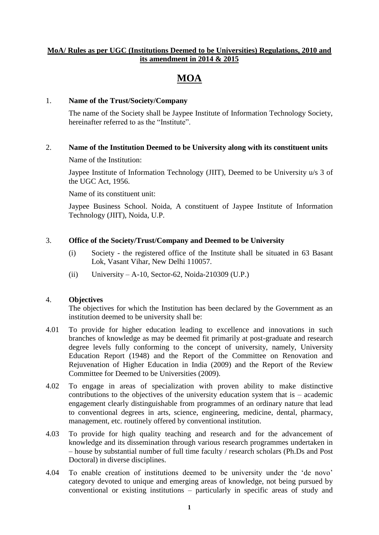# **MoA/ Rules as per UGC (Institutions Deemed to be Universities) Regulations, 2010 and its amendment in 2014 & 2015**

# **MOA**

## 1. **Name of the Trust/Society/Company**

The name of the Society shall be Jaypee Institute of Information Technology Society, hereinafter referred to as the "Institute".

## 2. **Name of the Institution Deemed to be University along with its constituent units**

Name of the Institution:

Jaypee Institute of Information Technology (JIIT), Deemed to be University u/s 3 of the UGC Act, 1956.

Name of its constituent unit:

Jaypee Business School. Noida, A constituent of Jaypee Institute of Information Technology (JIIT), Noida, U.P.

# 3. **Office of the Society/Trust/Company and Deemed to be University**

- (i) Society the registered office of the Institute shall be situated in 63 Basant Lok, Vasant Vihar, New Delhi 110057.
- (ii) University A-10, Sector-62, Noida-210309 (U.P.)

# 4. **Objectives**

The objectives for which the Institution has been declared by the Government as an institution deemed to be university shall be:

- 4.01 To provide for higher education leading to excellence and innovations in such branches of knowledge as may be deemed fit primarily at post-graduate and research degree levels fully conforming to the concept of university, namely, University Education Report (1948) and the Report of the Committee on Renovation and Rejuvenation of Higher Education in India (2009) and the Report of the Review Committee for Deemed to be Universities (2009).
- 4.02 To engage in areas of specialization with proven ability to make distinctive contributions to the objectives of the university education system that is – academic engagement clearly distinguishable from programmes of an ordinary nature that lead to conventional degrees in arts, science, engineering, medicine, dental, pharmacy, management, etc. routinely offered by conventional institution.
- 4.03 To provide for high quality teaching and research and for the advancement of knowledge and its dissemination through various research programmes undertaken in – house by substantial number of full time faculty / research scholars (Ph.Ds and Post Doctoral) in diverse disciplines.
- 4.04 To enable creation of institutions deemed to be university under the "de novo" category devoted to unique and emerging areas of knowledge, not being pursued by conventional or existing institutions – particularly in specific areas of study and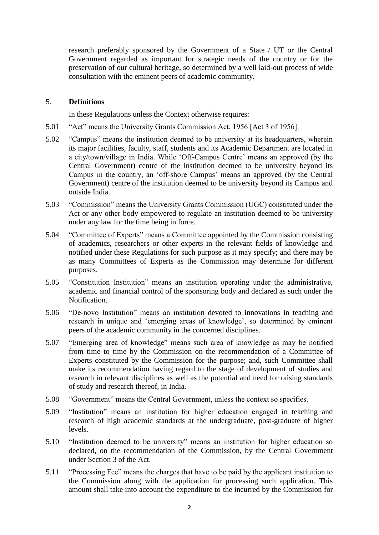research preferably sponsored by the Government of a State / UT or the Central Government regarded as important for strategic needs of the country or for the preservation of our cultural heritage, so determined by a well laid-out process of wide consultation with the eminent peers of academic community.

## 5. **Definitions**

In these Regulations unless the Context otherwise requires:

- 5.01 "Act" means the University Grants Commission Act, 1956 [Act 3 of 1956].
- 5.02 "Campus" means the institution deemed to be university at its headquarters, wherein its major facilities, faculty, staff, students and its Academic Department are located in a city/town/village in India. While "Off-Campus Centre" means an approved (by the Central Government) centre of the institution deemed to be university beyond its Campus in the country, an "off-shore Campus" means an approved (by the Central Government) centre of the institution deemed to be university beyond its Campus and outside India.
- 5.03 "Commission" means the University Grants Commission (UGC) constituted under the Act or any other body empowered to regulate an institution deemed to be university under any law for the time being in force.
- 5.04 "Committee of Experts" means a Committee appointed by the Commission consisting of academics, researchers or other experts in the relevant fields of knowledge and notified under these Regulations for such purpose as it may specify; and there may be as many Committees of Experts as the Commission may determine for different purposes.
- 5.05 "Constitution Institution" means an institution operating under the administrative, academic and financial control of the sponsoring body and declared as such under the Notification.
- 5.06 "De-novo Institution" means an institution devoted to innovations in teaching and research in unique and "emerging areas of knowledge", so determined by eminent peers of the academic community in the concerned disciplines.
- 5.07 "Emerging area of knowledge" means such area of knowledge as may be notified from time to time by the Commission on the recommendation of a Committee of Experts constituted by the Commission for the purpose; and, such Committee shall make its recommendation having regard to the stage of development of studies and research in relevant disciplines as well as the potential and need for raising standards of study and research thereof, in India.
- 5.08 "Government" means the Central Government, unless the context so specifies.
- 5.09 "Institution" means an institution for higher education engaged in teaching and research of high academic standards at the undergraduate, post-graduate of higher levels.
- 5.10 "Institution deemed to be university" means an institution for higher education so declared, on the recommendation of the Commission, by the Central Government under Section 3 of the Act.
- 5.11 "Processing Fee" means the charges that have to be paid by the applicant institution to the Commission along with the application for processing such application. This amount shall take into account the expenditure to the incurred by the Commission for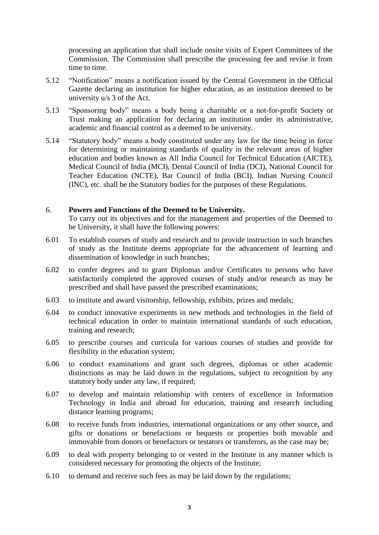processing an application that shall include onsite visits of Expert Committees of the Commission. The Commission shall prescribe the processing fee and revise it from time to time.

- 5.12 "Notification" means a notification issued by the Central Government in the Official Gazette declaring an institution for higher education, as an institution deemed to be university u/s 3 of the Act.
- 5.13 "Sponsoring body" means a body being a charitable or a not-for-profit Society or Trust making an application for declaring an institution under its administrative, academic and financial control as a deemed to be university.
- 5.14 "Statutory body" means a body constituted under any law for the time being in force for determining or maintaining standards of quality in the relevant areas of higher education and bodies known as All India Council for Technical Education (AICTE), Medical Council of India (MCI), Dental Council of India (DCI), National Council for Teacher Education (NCTE), Bar Council of India (BCI), Indian Nursing Council (INC), etc. shall be the Statutory bodies for the purposes of these Regulations.

#### 6. **Powers and Functions of the Deemed to be University.**

To carry out its objectives and for the management and properties of the Deemed to be University, it shall have the following powers:

- 6.01 To establish courses of study and research and to provide instruction in such branches of study as the Institute deems appropriate for the advancement of learning and dissemination of knowledge in such branches;
- 6.02 to confer degrees and to grant Diplomas and/or Certificates to persons who have satisfactorily completed the approved courses of study and/or research as may be prescribed and shall have passed the prescribed examinations;
- 6.03 to institute and award visitorship, fellowship, exhibits, prizes and medals;
- 6.04 to conduct innovative experiments in new methods and technologies in the field of technical education in order to maintain international standards of such education, training and research;
- 6.05 to prescribe courses and curricula for various courses of studies and provide for flexibility in the education system;
- 6.06 to conduct examinations and grant such degrees, diplomas or other academic distinctions as may be laid down in the regulations, subject to recognition by any statutory body under any law, if required;
- 6.07 to develop and maintain relationship with centers of excellence in Information Technology in India and abroad for education, training and research including distance learning programs;
- 6.08 to receive funds from industries, international organizations or any other source, and gifts or donations or benefactions or bequests or properties both movable and immovable from donors or benefactors or testators or transferors, as the case may be;
- 6.09 to deal with property belonging to or vested in the Institute in any manner which is considered necessary for promoting the objects of the Institute;
- 6.10 to demand and receive such fees as may be laid down by the regulations;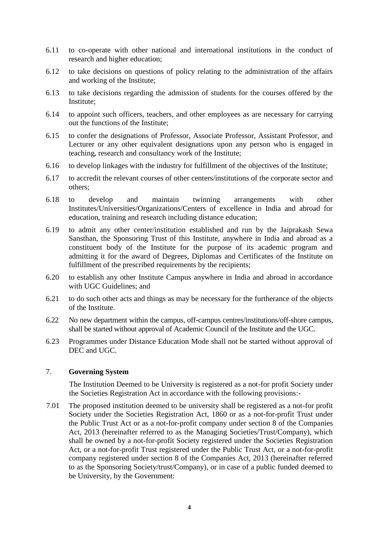- 6.11 to co-operate with other national and international institutions in the conduct of research and higher education;
- 6.12 to take decisions on questions of policy relating to the administration of the affairs and working of the Institute;
- 6.13 to take decisions regarding the admission of students for the courses offered by the Institute;
- 6.14 to appoint such officers, teachers, and other employees as are necessary for carrying out the functions of the Institute;
- 6.15 to confer the designations of Professor, Associate Professor, Assistant Professor, and Lecturer or any other equivalent designations upon any person who is engaged in teaching, research and consultancy work of the Institute;
- 6.16 to develop linkages with the industry for fulfillment of the objectives of the Institute;
- 6.17 to accredit the relevant courses of other centers/institutions of the corporate sector and others;
- 6.18 to develop and maintain twinning arrangements with other Institutes/Universities/Organizations/Centers of excellence in India and abroad for education, training and research including distance education;
- 6.19 to admit any other center/institution established and run by the Jaiprakash Sewa Sansthan, the Sponsoring Trust of this Institute, anywhere in India and abroad as a constituent body of the Institute for the purpose of its academic program and admitting it for the award of Degrees, Diplomas and Certificates of the Institute on fulfillment of the prescribed requirements by the recipients;
- 6.20 to establish any other Institute Campus anywhere in India and abroad in accordance with UGC Guidelines; and
- 6.21 to do such other acts and things as may be necessary for the furtherance of the objects of the Institute.
- 6.22 No new department within the campus, off-campus centres/institutions/off-shore campus, shall be started without approval of Academic Council of the Institute and the UGC.
- 6.23 Programmes under Distance Education Mode shall not be started without approval of DEC and UGC.

#### 7. **Governing System**

The Institution Deemed to be University is registered as a not-for profit Society under the Societies Registration Act in accordance with the following provisions:-

7.01 The proposed institution deemed to be university shall be registered as a not-for profit Society under the Societies Registration Act, 1860 or as a not-for-profit Trust under the Public Trust Act or as a not-for-profit company under section 8 of the Companies Act, 2013 (hereinafter referred to as the Managing Societies/Trust/Company), which shall be owned by a not-for-profit Society registered under the Societies Registration Act, or a not-for-profit Trust registered under the Public Trust Act, or a not-for-profit company registered under section 8 of the Companies Act, 2013 (hereinafter referred to as the Sponsoring Society/trust/Company), or in case of a public funded deemed to be University, by the Government: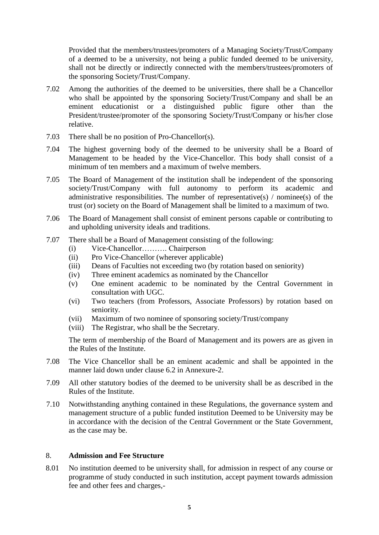Provided that the members/trustees/promoters of a Managing Society/Trust/Company of a deemed to be a university, not being a public funded deemed to be university, shall not be directly or indirectly connected with the members/trustees/promoters of the sponsoring Society/Trust/Company.

- 7.02 Among the authorities of the deemed to be universities, there shall be a Chancellor who shall be appointed by the sponsoring Society/Trust/Company and shall be an eminent educationist or a distinguished public figure other than the President/trustee/promoter of the sponsoring Society/Trust/Company or his/her close relative.
- 7.03 There shall be no position of Pro-Chancellor(s).
- 7.04 The highest governing body of the deemed to be university shall be a Board of Management to be headed by the Vice-Chancellor. This body shall consist of a minimum of ten members and a maximum of twelve members.
- 7.05 The Board of Management of the institution shall be independent of the sponsoring society/Trust/Company with full autonomy to perform its academic and administrative responsibilities. The number of representative(s)  $/$  nominee(s) of the trust (or) society on the Board of Management shall be limited to a maximum of two.
- 7.06 The Board of Management shall consist of eminent persons capable or contributing to and upholding university ideals and traditions.
- 7.07 There shall be a Board of Management consisting of the following:
	- (i) Vice-Chancellor………. Chairperson
	- (ii) Pro Vice-Chancellor (wherever applicable)
	- (iii) Deans of Faculties not exceeding two (by rotation based on seniority)
	- (iv) Three eminent academics as nominated by the Chancellor
	- (v) One eminent academic to be nominated by the Central Government in consultation with UGC.
	- (vi) Two teachers (from Professors, Associate Professors) by rotation based on seniority.
	- (vii) Maximum of two nominee of sponsoring society/Trust/company
	- (viii) The Registrar, who shall be the Secretary.

The term of membership of the Board of Management and its powers are as given in the Rules of the Institute.

- 7.08 The Vice Chancellor shall be an eminent academic and shall be appointed in the manner laid down under clause 6.2 in Annexure-2.
- 7.09 All other statutory bodies of the deemed to be university shall be as described in the Rules of the Institute.
- 7.10 Notwithstanding anything contained in these Regulations, the governance system and management structure of a public funded institution Deemed to be University may be in accordance with the decision of the Central Government or the State Government, as the case may be.

#### 8. **Admission and Fee Structure**

8.01 No institution deemed to be university shall, for admission in respect of any course or programme of study conducted in such institution, accept payment towards admission fee and other fees and charges,-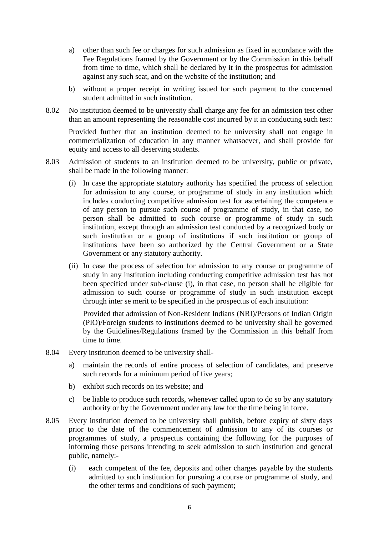- a) other than such fee or charges for such admission as fixed in accordance with the Fee Regulations framed by the Government or by the Commission in this behalf from time to time, which shall be declared by it in the prospectus for admission against any such seat, and on the website of the institution; and
- b) without a proper receipt in writing issued for such payment to the concerned student admitted in such institution.
- 8.02 No institution deemed to be university shall charge any fee for an admission test other than an amount representing the reasonable cost incurred by it in conducting such test:

Provided further that an institution deemed to be university shall not engage in commercialization of education in any manner whatsoever, and shall provide for equity and access to all deserving students.

- 8.03 Admission of students to an institution deemed to be university, public or private, shall be made in the following manner:
	- (i) In case the appropriate statutory authority has specified the process of selection for admission to any course, or programme of study in any institution which includes conducting competitive admission test for ascertaining the competence of any person to pursue such course of programme of study, in that case, no person shall be admitted to such course or programme of study in such institution, except through an admission test conducted by a recognized body or such institution or a group of institutions if such institution or group of institutions have been so authorized by the Central Government or a State Government or any statutory authority.
	- (ii) In case the process of selection for admission to any course or programme of study in any institution including conducting competitive admission test has not been specified under sub-clause (i), in that case, no person shall be eligible for admission to such course or programme of study in such institution except through inter se merit to be specified in the prospectus of each institution:

Provided that admission of Non-Resident Indians (NRI)/Persons of Indian Origin (PIO)/Foreign students to institutions deemed to be university shall be governed by the Guidelines/Regulations framed by the Commission in this behalf from time to time.

- 8.04 Every institution deemed to be university shall
	- a) maintain the records of entire process of selection of candidates, and preserve such records for a minimum period of five years;
	- b) exhibit such records on its website; and
	- c) be liable to produce such records, whenever called upon to do so by any statutory authority or by the Government under any law for the time being in force.
- 8.05 Every institution deemed to be university shall publish, before expiry of sixty days prior to the date of the commencement of admission to any of its courses or programmes of study, a prospectus containing the following for the purposes of informing those persons intending to seek admission to such institution and general public, namely:-
	- (i) each competent of the fee, deposits and other charges payable by the students admitted to such institution for pursuing a course or programme of study, and the other terms and conditions of such payment;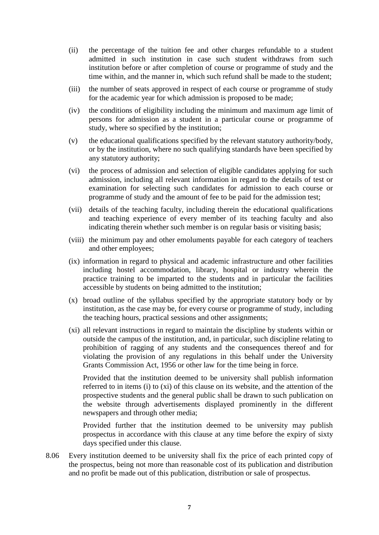- (ii) the percentage of the tuition fee and other charges refundable to a student admitted in such institution in case such student withdraws from such institution before or after completion of course or programme of study and the time within, and the manner in, which such refund shall be made to the student;
- (iii) the number of seats approved in respect of each course or programme of study for the academic year for which admission is proposed to be made;
- (iv) the conditions of eligibility including the minimum and maximum age limit of persons for admission as a student in a particular course or programme of study, where so specified by the institution;
- (v) the educational qualifications specified by the relevant statutory authority/body, or by the institution, where no such qualifying standards have been specified by any statutory authority;
- (vi) the process of admission and selection of eligible candidates applying for such admission, including all relevant information in regard to the details of test or examination for selecting such candidates for admission to each course or programme of study and the amount of fee to be paid for the admission test;
- (vii) details of the teaching faculty, including therein the educational qualifications and teaching experience of every member of its teaching faculty and also indicating therein whether such member is on regular basis or visiting basis;
- (viii) the minimum pay and other emoluments payable for each category of teachers and other employees;
- (ix) information in regard to physical and academic infrastructure and other facilities including hostel accommodation, library, hospital or industry wherein the practice training to be imparted to the students and in particular the facilities accessible by students on being admitted to the institution;
- (x) broad outline of the syllabus specified by the appropriate statutory body or by institution, as the case may be, for every course or programme of study, including the teaching hours, practical sessions and other assignments;
- (xi) all relevant instructions in regard to maintain the discipline by students within or outside the campus of the institution, and, in particular, such discipline relating to prohibition of ragging of any students and the consequences thereof and for violating the provision of any regulations in this behalf under the University Grants Commission Act, 1956 or other law for the time being in force.

Provided that the institution deemed to be university shall publish information referred to in items (i) to (xi) of this clause on its website, and the attention of the prospective students and the general public shall be drawn to such publication on the website through advertisements displayed prominently in the different newspapers and through other media;

Provided further that the institution deemed to be university may publish prospectus in accordance with this clause at any time before the expiry of sixty days specified under this clause.

8.06 Every institution deemed to be university shall fix the price of each printed copy of the prospectus, being not more than reasonable cost of its publication and distribution and no profit be made out of this publication, distribution or sale of prospectus.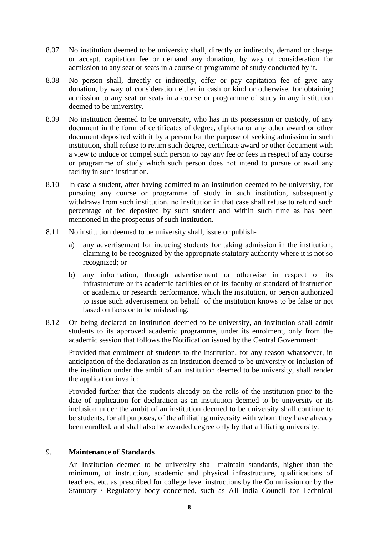- 8.07 No institution deemed to be university shall, directly or indirectly, demand or charge or accept, capitation fee or demand any donation, by way of consideration for admission to any seat or seats in a course or programme of study conducted by it.
- 8.08 No person shall, directly or indirectly, offer or pay capitation fee of give any donation, by way of consideration either in cash or kind or otherwise, for obtaining admission to any seat or seats in a course or programme of study in any institution deemed to be university.
- 8.09 No institution deemed to be university, who has in its possession or custody, of any document in the form of certificates of degree, diploma or any other award or other document deposited with it by a person for the purpose of seeking admission in such institution, shall refuse to return such degree, certificate award or other document with a view to induce or compel such person to pay any fee or fees in respect of any course or programme of study which such person does not intend to pursue or avail any facility in such institution.
- 8.10 In case a student, after having admitted to an institution deemed to be university, for pursuing any course or programme of study in such institution, subsequently withdraws from such institution, no institution in that case shall refuse to refund such percentage of fee deposited by such student and within such time as has been mentioned in the prospectus of such institution.
- 8.11 No institution deemed to be university shall, issue or publish
	- a) any advertisement for inducing students for taking admission in the institution, claiming to be recognized by the appropriate statutory authority where it is not so recognized; or
	- b) any information, through advertisement or otherwise in respect of its infrastructure or its academic facilities or of its faculty or standard of instruction or academic or research performance, which the institution, or person authorized to issue such advertisement on behalf of the institution knows to be false or not based on facts or to be misleading.
- 8.12 On being declared an institution deemed to be university, an institution shall admit students to its approved academic programme, under its enrolment, only from the academic session that follows the Notification issued by the Central Government:

Provided that enrolment of students to the institution, for any reason whatsoever, in anticipation of the declaration as an institution deemed to be university or inclusion of the institution under the ambit of an institution deemed to be university, shall render the application invalid;

Provided further that the students already on the rolls of the institution prior to the date of application for declaration as an institution deemed to be university or its inclusion under the ambit of an institution deemed to be university shall continue to be students, for all purposes, of the affiliating university with whom they have already been enrolled, and shall also be awarded degree only by that affiliating university.

#### 9. **Maintenance of Standards**

An Institution deemed to be university shall maintain standards, higher than the minimum, of instruction, academic and physical infrastructure, qualifications of teachers, etc. as prescribed for college level instructions by the Commission or by the Statutory / Regulatory body concerned, such as All India Council for Technical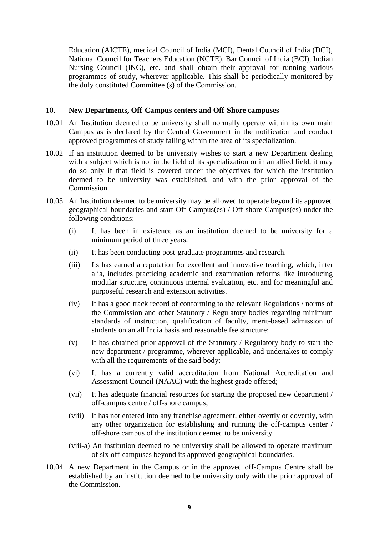Education (AICTE), medical Council of India (MCI), Dental Council of India (DCI), National Council for Teachers Education (NCTE), Bar Council of India (BCI), Indian Nursing Council (INC), etc. and shall obtain their approval for running various programmes of study, wherever applicable. This shall be periodically monitored by the duly constituted Committee (s) of the Commission.

#### 10. **New Departments, Off-Campus centers and Off-Shore campuses**

- 10.01 An Institution deemed to be university shall normally operate within its own main Campus as is declared by the Central Government in the notification and conduct approved programmes of study falling within the area of its specialization.
- 10.02 If an institution deemed to be university wishes to start a new Department dealing with a subject which is not in the field of its specialization or in an allied field, it may do so only if that field is covered under the objectives for which the institution deemed to be university was established, and with the prior approval of the Commission.
- 10.03 An Institution deemed to be university may be allowed to operate beyond its approved geographical boundaries and start Off-Campus(es) / Off-shore Campus(es) under the following conditions:
	- (i) It has been in existence as an institution deemed to be university for a minimum period of three years.
	- (ii) It has been conducting post-graduate programmes and research.
	- (iii) Its has earned a reputation for excellent and innovative teaching, which, inter alia, includes practicing academic and examination reforms like introducing modular structure, continuous internal evaluation, etc. and for meaningful and purposeful research and extension activities.
	- (iv) It has a good track record of conforming to the relevant Regulations / norms of the Commission and other Statutory / Regulatory bodies regarding minimum standards of instruction, qualification of faculty, merit-based admission of students on an all India basis and reasonable fee structure;
	- (v) It has obtained prior approval of the Statutory / Regulatory body to start the new department / programme, wherever applicable, and undertakes to comply with all the requirements of the said body;
	- (vi) It has a currently valid accreditation from National Accreditation and Assessment Council (NAAC) with the highest grade offered;
	- (vii) It has adequate financial resources for starting the proposed new department / off-campus centre / off-shore campus;
	- (viii) It has not entered into any franchise agreement, either overtly or covertly, with any other organization for establishing and running the off-campus center / off-shore campus of the institution deemed to be university.
	- (viii-a) An institution deemed to be university shall be allowed to operate maximum of six off-campuses beyond its approved geographical boundaries.
- 10.04 A new Department in the Campus or in the approved off-Campus Centre shall be established by an institution deemed to be university only with the prior approval of the Commission.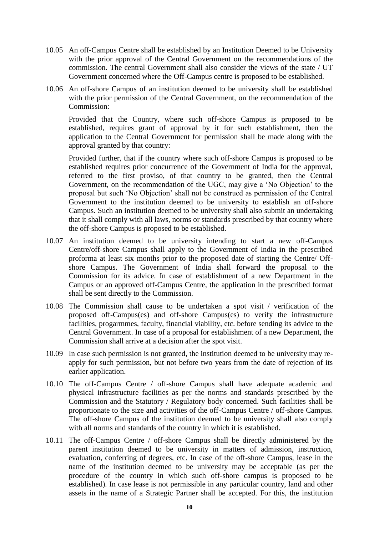- 10.05 An off-Campus Centre shall be established by an Institution Deemed to be University with the prior approval of the Central Government on the recommendations of the commission. The central Government shall also consider the views of the state / UT Government concerned where the Off-Campus centre is proposed to be established.
- 10.06 An off-shore Campus of an institution deemed to be university shall be established with the prior permission of the Central Government, on the recommendation of the Commission:

Provided that the Country, where such off-shore Campus is proposed to be established, requires grant of approval by it for such establishment, then the application to the Central Government for permission shall be made along with the approval granted by that country:

Provided further, that if the country where such off-shore Campus is proposed to be established requires prior concurrence of the Government of India for the approval, referred to the first proviso, of that country to be granted, then the Central Government, on the recommendation of the UGC, may give a "No Objection" to the proposal but such "No Objection" shall not be construed as permission of the Central Government to the institution deemed to be university to establish an off-shore Campus. Such an institution deemed to be university shall also submit an undertaking that it shall comply with all laws, norms or standards prescribed by that country where the off-shore Campus is proposed to be established.

- 10.07 An institution deemed to be university intending to start a new off-Campus Centre/off-shore Campus shall apply to the Government of India in the prescribed proforma at least six months prior to the proposed date of starting the Centre/ Offshore Campus. The Government of India shall forward the proposal to the Commission for its advice. In case of establishment of a new Department in the Campus or an approved off-Campus Centre, the application in the prescribed format shall be sent directly to the Commission.
- 10.08 The Commission shall cause to be undertaken a spot visit / verification of the proposed off-Campus(es) and off-shore Campus(es) to verify the infrastructure facilities, progarmmes, faculty, financial viability, etc. before sending its advice to the Central Government. In case of a proposal for establishment of a new Department, the Commission shall arrive at a decision after the spot visit.
- 10.09 In case such permission is not granted, the institution deemed to be university may reapply for such permission, but not before two years from the date of rejection of its earlier application.
- 10.10 The off-Campus Centre / off-shore Campus shall have adequate academic and physical infrastructure facilities as per the norms and standards prescribed by the Commission and the Statutory / Regulatory body concerned. Such facilities shall be proportionate to the size and activities of the off-Campus Centre / off-shore Campus. The off-shore Campus of the institution deemed to be university shall also comply with all norms and standards of the country in which it is established.
- 10.11 The off-Campus Centre / off-shore Campus shall be directly administered by the parent institution deemed to be university in matters of admission, instruction, evaluation, conferring of degrees, etc. In case of the off-shore Campus, lease in the name of the institution deemed to be university may be acceptable (as per the procedure of the country in which such off-shore campus is proposed to be established). In case lease is not permissible in any particular country, land and other assets in the name of a Strategic Partner shall be accepted. For this, the institution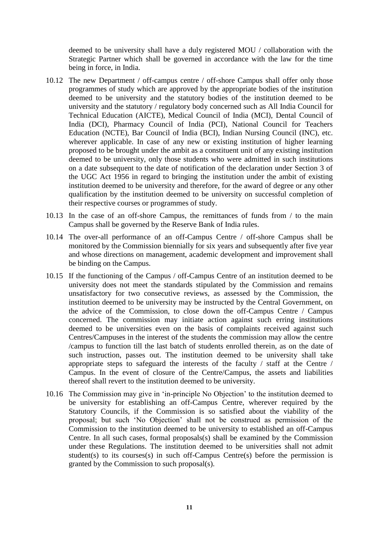deemed to be university shall have a duly registered MOU / collaboration with the Strategic Partner which shall be governed in accordance with the law for the time being in force, in India.

- 10.12 The new Department / off-campus centre / off-shore Campus shall offer only those programmes of study which are approved by the appropriate bodies of the institution deemed to be university and the statutory bodies of the institution deemed to be university and the statutory / regulatory body concerned such as All India Council for Technical Education (AICTE), Medical Council of India (MCI), Dental Council of India (DCI), Pharmacy Council of India (PCI), National Council for Teachers Education (NCTE), Bar Council of India (BCI), Indian Nursing Council (INC), etc. wherever applicable. In case of any new or existing institution of higher learning proposed to be brought under the ambit as a constituent unit of any existing institution deemed to be university, only those students who were admitted in such institutions on a date subsequent to the date of notification of the declaration under Section 3 of the UGC Act 1956 in regard to bringing the institution under the ambit of existing institution deemed to be university and therefore, for the award of degree or any other qualification by the institution deemed to be university on successful completion of their respective courses or programmes of study.
- 10.13 In the case of an off-shore Campus, the remittances of funds from / to the main Campus shall be governed by the Reserve Bank of India rules.
- 10.14 The over-all performance of an off-Campus Centre / off-shore Campus shall be monitored by the Commission biennially for six years and subsequently after five year and whose directions on management, academic development and improvement shall be binding on the Campus.
- 10.15 If the functioning of the Campus / off-Campus Centre of an institution deemed to be university does not meet the standards stipulated by the Commission and remains unsatisfactory for two consecutive reviews, as assessed by the Commission, the institution deemed to be university may be instructed by the Central Government, on the advice of the Commission, to close down the off-Campus Centre / Campus concerned. The commission may initiate action against such erring institutions deemed to be universities even on the basis of complaints received against such Centres/Campuses in the interest of the students the commission may allow the centre /campus to function till the last batch of students enrolled therein, as on the date of such instruction, passes out. The institution deemed to be university shall take appropriate steps to safeguard the interests of the faculty / staff at the Centre / Campus. In the event of closure of the Centre/Campus, the assets and liabilities thereof shall revert to the institution deemed to be university.
- 10.16 The Commission may give in "in-principle No Objection" to the institution deemed to be university for establishing an off-Campus Centre, wherever required by the Statutory Councils, if the Commission is so satisfied about the viability of the proposal; but such "No Objection" shall not be construed as permission of the Commission to the institution deemed to be university to established an off-Campus Centre. In all such cases, formal proposals(s) shall be examined by the Commission under these Regulations. The institution deemed to be universities shall not admit student(s) to its courses(s) in such off-Campus Centre(s) before the permission is granted by the Commission to such proposal(s).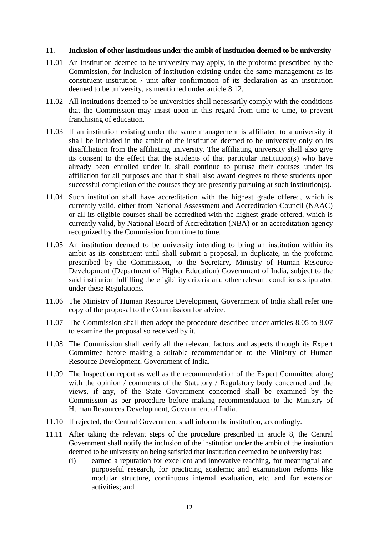#### 11. **Inclusion of other institutions under the ambit of institution deemed to be university**

- 11.01 An Institution deemed to be university may apply, in the proforma prescribed by the Commission, for inclusion of institution existing under the same management as its constituent institution / unit after confirmation of its declaration as an institution deemed to be university, as mentioned under article 8.12.
- 11.02 All institutions deemed to be universities shall necessarily comply with the conditions that the Commission may insist upon in this regard from time to time, to prevent franchising of education.
- 11.03 If an institution existing under the same management is affiliated to a university it shall be included in the ambit of the institution deemed to be university only on its disaffiliation from the affiliating university. The affiliating university shall also give its consent to the effect that the students of that particular institution(s) who have already been enrolled under it, shall continue to puruse their courses under its affiliation for all purposes and that it shall also award degrees to these students upon successful completion of the courses they are presently pursuing at such institution(s).
- 11.04 Such institution shall have accreditation with the highest grade offered, which is currently valid, either from National Assessment and Accreditation Council (NAAC) or all its eligible courses shall be accredited with the highest grade offered, which is currently valid, by National Board of Accreditation (NBA) or an accreditation agency recognized by the Commission from time to time.
- 11.05 An institution deemed to be university intending to bring an institution within its ambit as its constituent until shall submit a proposal, in duplicate, in the proforma prescribed by the Commission, to the Secretary, Ministry of Human Resource Development (Department of Higher Education) Government of India, subject to the said institution fulfilling the eligibility criteria and other relevant conditions stipulated under these Regulations.
- 11.06 The Ministry of Human Resource Development, Government of India shall refer one copy of the proposal to the Commission for advice.
- 11.07 The Commission shall then adopt the procedure described under articles 8.05 to 8.07 to examine the proposal so received by it.
- 11.08 The Commission shall verify all the relevant factors and aspects through its Expert Committee before making a suitable recommendation to the Ministry of Human Resource Development, Government of India.
- 11.09 The Inspection report as well as the recommendation of the Expert Committee along with the opinion / comments of the Statutory / Regulatory body concerned and the views, if any, of the State Government concerned shall be examined by the Commission as per procedure before making recommendation to the Ministry of Human Resources Development, Government of India.
- 11.10 If rejected, the Central Government shall inform the institution, accordingly.
- 11.11 After taking the relevant steps of the procedure prescribed in article 8, the Central Government shall notify the inclusion of the institution under the ambit of the institution deemed to be university on being satisfied that institution deemed to be university has:
	- (i) earned a reputation for excellent and innovative teaching, for meaningful and purposeful research, for practicing academic and examination reforms like modular structure, continuous internal evaluation, etc. and for extension activities; and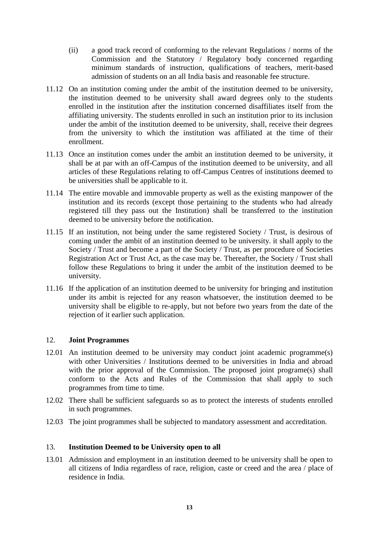- (ii) a good track record of conforming to the relevant Regulations / norms of the Commission and the Statutory / Regulatory body concerned regarding minimum standards of instruction, qualifications of teachers, merit-based admission of students on an all India basis and reasonable fee structure.
- 11.12 On an institution coming under the ambit of the institution deemed to be university, the institution deemed to be university shall award degrees only to the students enrolled in the institution after the institution concerned disaffiliates itself from the affiliating university. The students enrolled in such an institution prior to its inclusion under the ambit of the institution deemed to be university, shall, receive their degrees from the university to which the institution was affiliated at the time of their enrollment.
- 11.13 Once an institution comes under the ambit an institution deemed to be university, it shall be at par with an off-Campus of the institution deemed to be university, and all articles of these Regulations relating to off-Campus Centres of institutions deemed to be universities shall be applicable to it.
- 11.14 The entire movable and immovable property as well as the existing manpower of the institution and its records (except those pertaining to the students who had already registered till they pass out the Institution) shall be transferred to the institution deemed to be university before the notification.
- 11.15 If an institution, not being under the same registered Society / Trust, is desirous of coming under the ambit of an institution deemed to be university. it shall apply to the Society / Trust and become a part of the Society / Trust, as per procedure of Societies Registration Act or Trust Act, as the case may be. Thereafter, the Society / Trust shall follow these Regulations to bring it under the ambit of the institution deemed to be university.
- 11.16 If the application of an institution deemed to be university for bringing and institution under its ambit is rejected for any reason whatsoever, the institution deemed to be university shall be eligible to re-apply, but not before two years from the date of the rejection of it earlier such application.

# 12. **Joint Programmes**

- 12.01 An institution deemed to be university may conduct joint academic programme(s) with other Universities / Institutions deemed to be universities in India and abroad with the prior approval of the Commission. The proposed joint programe(s) shall conform to the Acts and Rules of the Commission that shall apply to such programmes from time to time.
- 12.02 There shall be sufficient safeguards so as to protect the interests of students enrolled in such programmes.
- 12.03 The joint programmes shall be subjected to mandatory assessment and accreditation.

#### 13. **Institution Deemed to be University open to all**

13.01 Admission and employment in an institution deemed to be university shall be open to all citizens of India regardless of race, religion, caste or creed and the area / place of residence in India.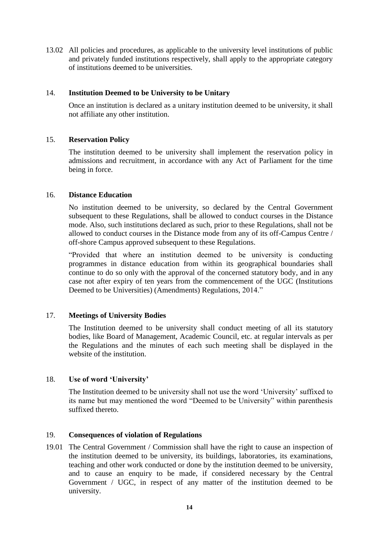13.02 All policies and procedures, as applicable to the university level institutions of public and privately funded institutions respectively, shall apply to the appropriate category of institutions deemed to be universities.

## 14. **Institution Deemed to be University to be Unitary**

Once an institution is declared as a unitary institution deemed to be university, it shall not affiliate any other institution.

## 15. **Reservation Policy**

The institution deemed to be university shall implement the reservation policy in admissions and recruitment, in accordance with any Act of Parliament for the time being in force.

#### 16. **Distance Education**

No institution deemed to be university, so declared by the Central Government subsequent to these Regulations, shall be allowed to conduct courses in the Distance mode. Also, such institutions declared as such, prior to these Regulations, shall not be allowed to conduct courses in the Distance mode from any of its off-Campus Centre / off-shore Campus approved subsequent to these Regulations.

"Provided that where an institution deemed to be university is conducting programmes in distance education from within its geographical boundaries shall continue to do so only with the approval of the concerned statutory body, and in any case not after expiry of ten years from the commencement of the UGC (Institutions Deemed to be Universities) (Amendments) Regulations, 2014."

# 17. **Meetings of University Bodies**

The Institution deemed to be university shall conduct meeting of all its statutory bodies, like Board of Management, Academic Council, etc. at regular intervals as per the Regulations and the minutes of each such meeting shall be displayed in the website of the institution.

#### 18. **Use of word 'University'**

The Institution deemed to be university shall not use the word "University" suffixed to its name but may mentioned the word "Deemed to be University" within parenthesis suffixed thereto.

#### 19. **Consequences of violation of Regulations**

19.01 The Central Government / Commission shall have the right to cause an inspection of the institution deemed to be university, its buildings, laboratories, its examinations, teaching and other work conducted or done by the institution deemed to be university, and to cause an enquiry to be made, if considered necessary by the Central Government / UGC, in respect of any matter of the institution deemed to be university.